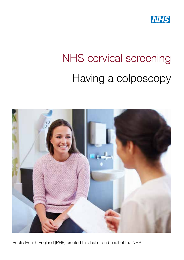

# NHS cervical screening Having a colposcopy



Public Health England (PHE) created this leaflet on behalf of the NHS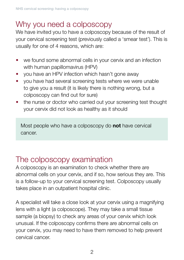# Why you need a colposcopy

We have invited you to have a colposcopy because of the result of your cervical screening test (previously called a 'smear test'). This is usually for one of 4 reasons, which are:

- we found some abnormal cells in your cervix and an infection with human papillomavirus (HPV)
- you have an HPV infection which hasn't gone away
- you have had several screening tests where we were unable to give you a result (it is likely there is nothing wrong, but a colposcopy can find out for sure)
- the nurse or doctor who carried out your screening test thought your cervix did not look as healthy as it should

Most people who have a colposcopy do **not** have cervical cancer.

### The colposcopy examination

A colposcopy is an examination to check whether there are abnormal cells on your cervix, and if so, how serious they are. This is a follow-up to your cervical screening test. Colposcopy usually takes place in an outpatient hospital clinic.

A specialist will take a close look at your cervix using a magnifying lens with a light (a colposcope). They may take a small tissue sample (a biopsy) to check any areas of your cervix which look unusual. If the colposcopy confirms there are abnormal cells on your cervix, you may need to have them removed to help prevent cervical cancer.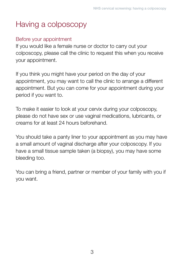# Having a colposcopy

#### Before your appointment

If you would like a female nurse or doctor to carry out your colposcopy, please call the clinic to request this when you receive your appointment.

If you think you might have your period on the day of your appointment, you may want to call the clinic to arrange a different appointment. But you can come for your appointment during your period if you want to.

To make it easier to look at your cervix during your colposcopy, please do not have sex or use vaginal medications, lubricants, or creams for at least 24 hours beforehand.

You should take a panty liner to your appointment as you may have a small amount of vaginal discharge after your colposcopy. If you have a small tissue sample taken (a biopsy), you may have some bleeding too.

You can bring a friend, partner or member of your family with you if you want.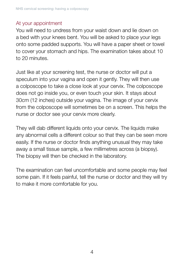#### At your appointment

You will need to undress from your waist down and lie down on a bed with your knees bent. You will be asked to place your legs onto some padded supports. You will have a paper sheet or towel to cover your stomach and hips. The examination takes about 10 to 20 minutes.

Just like at your screening test, the nurse or doctor will put a speculum into your vagina and open it gently. They will then use a colposcope to take a close look at your cervix. The colposcope does not go inside you, or even touch your skin. It stays about 30cm (12 inches) outside your vagina. The image of your cervix from the colposcope will sometimes be on a screen. This helps the nurse or doctor see your cervix more clearly.

They will dab different liquids onto your cervix. The liquids make any abnormal cells a different colour so that they can be seen more easily. If the nurse or doctor finds anything unusual they may take away a small tissue sample, a few millimetres across (a biopsy). The biopsy will then be checked in the laboratory.

The examination can feel uncomfortable and some people may feel some pain. If it feels painful, tell the nurse or doctor and they will try to make it more comfortable for you.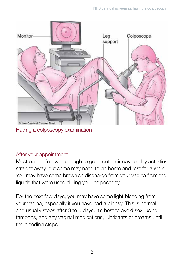

Having a colposcopy examination

#### After your appointment

Most people feel well enough to go about their day-to-day activities straight away, but some may need to go home and rest for a while. You may have some brownish discharge from your vagina from the liquids that were used during your colposcopy.

For the next few days, you may have some light bleeding from your vagina, especially if you have had a biopsy. This is normal and usually stops after 3 to 5 days. It's best to avoid sex, using tampons, and any vaginal medications, lubricants or creams until the bleeding stops.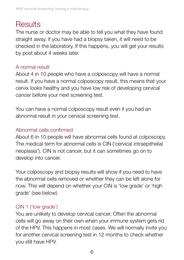### **Results**

The nurse or doctor may be able to tell you what they have found straight away. If you have had a biopsy taken, it will need to be checked in the laboratory. If this happens, you will get your results by post about 4 weeks later.

#### A normal result

About 4 in 10 people who have a colposcopy will have a normal result. If you have a normal colposcopy result, this means that your cervix looks healthy and you have low risk of developing cervical cancer before your next screening test.

You can have a normal colposcopy result even if you had an abnormal result in your cervical screening test.

#### Abnormal cells confirmed

About 6 in 10 people will have abnormal cells found at colposcopy. The medical term for abnormal cells is CIN ('cervical intraepithelial neoplasia'). CIN is not cancer, but it can sometimes go on to develop into cancer.

Your colposcopy and biopsy results will show if you need to have the abnormal cells removed or whether they can be left alone for now. This will depend on whether your CIN is 'low grade' or 'high grade' (see below).

#### CIN 1 ('low grade')

You are unlikely to develop cervical cancer. Often the abnormal cells will go away on their own when your immune system gets rid of the HPV. This happens in most cases. We will normally invite you for another cervical screening test in 12 months to check whether you still have HPV.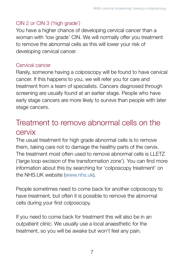#### CIN 2 or CIN 3 ('high grade')

You have a higher chance of developing cervical cancer than a woman with 'low grade' CIN. We will normally offer you treatment to remove the abnormal cells as this will lower your risk of developing cervical cancer.

#### Cervical cancer

Rarely, someone having a colposcopy will be found to have cervical cancer. If this happens to you, we will refer you for care and treatment from a team of specialists. Cancers diagnosed through screening are usually found at an earlier stage. People who have early stage cancers are more likely to survive than people with later stage cancers.

### Treatment to remove abnormal cells on the cervix

The usual treatment for high grade abnormal cells is to remove them, taking care not to damage the healthy parts of the cervix. The treatment most often used to remove abnormal cells is LLETZ ('large loop excision of the transformation zone'). You can find more information about this by searching for 'colposcopy treatment' on the NHS.UK website (www.nhs.uk).

People sometimes need to come back for another colposcopy to have treatment, but often it is possible to remove the abnormal cells during your first colposcopy.

If you need to come back for treatment this will also be in an outpatient clinic. We usually use a local anaesthetic for the treatment, so you will be awake but won't feel any pain.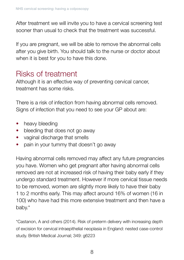After treatment we will invite you to have a cervical screening test sooner than usual to check that the treatment was successful.

If you are pregnant, we will be able to remove the abnormal cells after you give birth. You should talk to the nurse or doctor about when it is best for you to have this done.

### Risks of treatment

Although it is an effective way of preventing cervical cancer, treatment has some risks.

There is a risk of infection from having abnormal cells removed. Signs of infection that you need to see your GP about are:

- heavy bleeding
- bleeding that does not go away
- vaginal discharge that smells
- pain in your tummy that doesn't go away

Having abnormal cells removed may affect any future pregnancies you have. Women who get pregnant after having abnormal cells removed are not at increased risk of having their baby early if they undergo standard treatment. However if more cervical tissue needs to be removed, women are slightly more likely to have their baby 1 to 2 months early. This may affect around 16% of women (16 in 100) who have had this more extensive treatment and then have a baby.\*

\*Castanon, A and others (2014). Risk of preterm delivery with increasing depth of excision for cervical intraepithelial neoplasia in England: nested case-control study. British Medical Journal; 349: g6223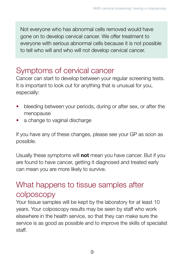Not everyone who has abnormal cells removed would have gone on to develop cervical cancer. We offer treatment to everyone with serious abnormal cells because it is not possible to tell who will and who will not develop cervical cancer.

### Symptoms of cervical cancer

Cancer can start to develop between your regular screening tests. It is important to look out for anything that is unusual for you, especially:

- bleeding between your periods, during or after sex, or after the menopause
- a change to vaginal discharge

If you have any of these changes, please see your GP as soon as possible.

Usually these symptoms will **not** mean you have cancer. But if you are found to have cancer, getting it diagnosed and treated early can mean you are more likely to survive.

# What happens to tissue samples after colposcopy

Your tissue samples will be kept by the laboratory for at least 10 years. Your colposcopy results may be seen by staff who work elsewhere in the health service, so that they can make sure the service is as good as possible and to improve the skills of specialist staff.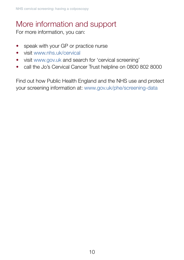# More information and support

For more information, you can:

- speak with your GP or practice nurse
- visit www.nhs.uk/cervical
- visit www.gov.uk and search for 'cervical screening'
- call the Jo's Cervical Cancer Trust helpline on 0800 802 8000

Find out how Public Health England and the NHS use and protect your screening information at: www.gov.uk/phe/screening-data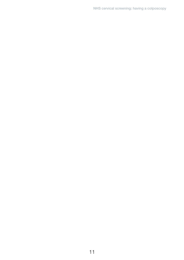NHS cervical screening: having a colposcopy